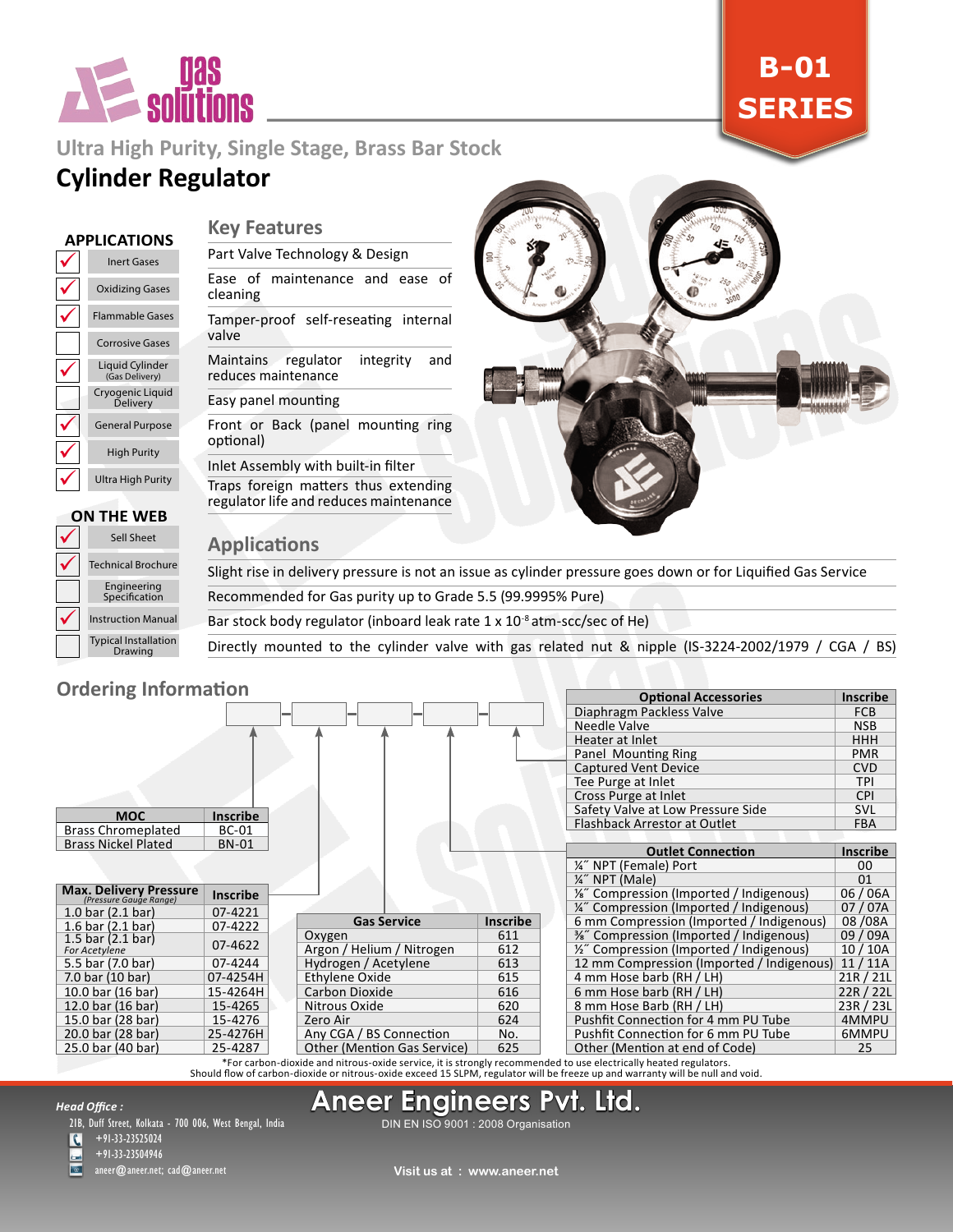

# **B-01 SERIES**

# **Ultra High Purity, Single Stage, Brass Bar Stock Cylinder Regulator**

### **APPLICATIONS**

| <b>Inert Gases</b>                  |
|-------------------------------------|
| <b>Oxidizing Gases</b>              |
| <b>Flammable Gases</b>              |
| <b>Corrosive Gases</b>              |
| Liquid Cylinder<br>(Gas Delivery)   |
| Cryogenic Liguid<br><b>Delivery</b> |
| <b>General Purpose</b>              |
| <b>High Purity</b>                  |
| Ultra High Purity                   |

### **Key Features**

Part Valve Technology & Design

Ease of maintenance and ease of cleaning

Tamper-proof self-reseating internal valve

Maintains regulator integrity and reduces maintenance

#### Easy panel mounting

Front or Back (panel mounting ring optional)

Inlet Assembly with built-in filter Traps foreign matters thus extending regulator life and reduces maintenance



#### $\checkmark$  $\checkmark$  $\checkmark$ Typical Installation Drawing Instruction Manual Engineering Specification Technical Brochure Sell Sheet **ON THE WEB**

| <b>Applications</b> |  |
|---------------------|--|
|                     |  |

Slight rise in delivery pressure is not an issue as cylinder pressure goes down or for Liquified Gas Service

Recommended for Gas purity up to Grade 5.5 (99.9995% Pure)

Bar stock body regulator (inboard leak rate 1 x 10-8 atm-scc/sec of He)

Directly mounted to the cylinder valve with gas related nut & nipple (IS-3224-2002/1979 / CGA / BS)

### **Ordering Information**

| <b>UIUCHIIK IIIIUHIIIIIUII</b>                   |                 |                                    |                 | <b>Optional Accessories</b>               | <b>Inscribe</b> |
|--------------------------------------------------|-----------------|------------------------------------|-----------------|-------------------------------------------|-----------------|
|                                                  |                 |                                    |                 | Diaphragm Packless Valve                  | <b>FCB</b>      |
|                                                  |                 |                                    |                 | Needle Valve                              | <b>NSB</b>      |
|                                                  |                 |                                    |                 | Heater at Inlet                           | <b>HHH</b>      |
|                                                  |                 |                                    |                 | Panel Mounting Ring                       | <b>PMR</b>      |
|                                                  |                 |                                    |                 | <b>Captured Vent Device</b>               | <b>CVD</b>      |
|                                                  |                 |                                    |                 | Tee Purge at Inlet                        | <b>TPI</b>      |
|                                                  |                 |                                    |                 | Cross Purge at Inlet                      | <b>CPI</b>      |
| <b>MOC</b>                                       | <b>Inscribe</b> |                                    |                 | Safety Valve at Low Pressure Side         | <b>SVL</b>      |
| <b>Brass Chromeplated</b>                        | <b>BC-01</b>    |                                    |                 | Flashback Arrestor at Outlet              | <b>FBA</b>      |
| <b>Brass Nickel Plated</b>                       | <b>BN-01</b>    |                                    |                 |                                           |                 |
|                                                  |                 |                                    |                 | <b>Outlet Connection</b>                  | Inscribe        |
|                                                  |                 |                                    |                 | 1/4" NPT (Female) Port                    | 00              |
|                                                  |                 |                                    |                 | %" NPT (Male)                             | 01              |
| Max. Delivery Pressure<br>(Pressure Gauge Range) | <b>Inscribe</b> |                                    |                 | 1/2" Compression (Imported / Indigenous)  | 06/06A          |
| 1.0 bar $(2.1 \text{ bar})$                      | 07-4221         |                                    |                 | 1/4" Compression (Imported / Indigenous)  | 07/07A          |
| 1.6 bar $(2.1$ bar)                              | 07-4222         | <b>Gas Service</b>                 | <b>Inscribe</b> | 6 mm Compression (Imported / Indigenous)  | 08/08A          |
| 1.5 bar $(2.1$ bar)                              | 07-4622         | Oxygen                             | 611             | %" Compression (Imported / Indigenous)    | 09 / 09A        |
| For Acetylene                                    |                 | Argon / Helium / Nitrogen          | 612             | 1/2" Compression (Imported / Indigenous)  | 10/10A          |
| 5.5 bar (7.0 bar)                                | 07-4244         | Hydrogen / Acetylene               | 613             | 12 mm Compression (Imported / Indigenous) | 11/11A          |
| 7.0 bar (10 bar)                                 | 07-4254H        | Ethylene Oxide                     | 615             | 4 mm Hose barb (RH / LH)                  | 21R / 21L       |
| 10.0 bar (16 bar)                                | 15-4264H        | Carbon Dioxide                     | 616             | 6 mm Hose barb (RH / LH)                  | 22R / 22L       |
| 12.0 bar (16 bar)                                | 15-4265         | Nitrous Oxide                      | 620             | 8 mm Hose Barb (RH / LH)                  | 23R / 23L       |
| 15.0 bar (28 bar)                                | 15-4276         | Zero Air                           | 624             | Pushfit Connection for 4 mm PU Tube       | 4MMPU           |
| 20.0 bar (28 bar)                                | 25-4276H        | Any CGA / BS Connection            | No.             | Pushfit Connection for 6 mm PU Tube       | 6MMPU           |
| 25.0 bar (40 bar)                                | 25-4287         | <b>Other (Mention Gas Service)</b> | 625             | Other (Mention at end of Code)            | 25              |

For carbon-dioxide and nitrous-oxide service, it is strongly recommended to use electrically heated regulators.<br>Should flow of carbon-dioxide or nitrous-oxide exceed 15 SLPM, regulator will be freeze up and warranty will b

# **Aneer Engineers Pvt. Ltd.**

*Head Office :*

21B, Duff Street, Kolkata - 700 006, West Bengal, India

 $\overline{\mathbf{C}}$  $+91-33-23525024$ 

+91-33-23504946

aneer@aneer.net; cad@aneer.net

DIN EN ISO 9001 : 2008 Organisation

**Visit us at : www.aneer.net**